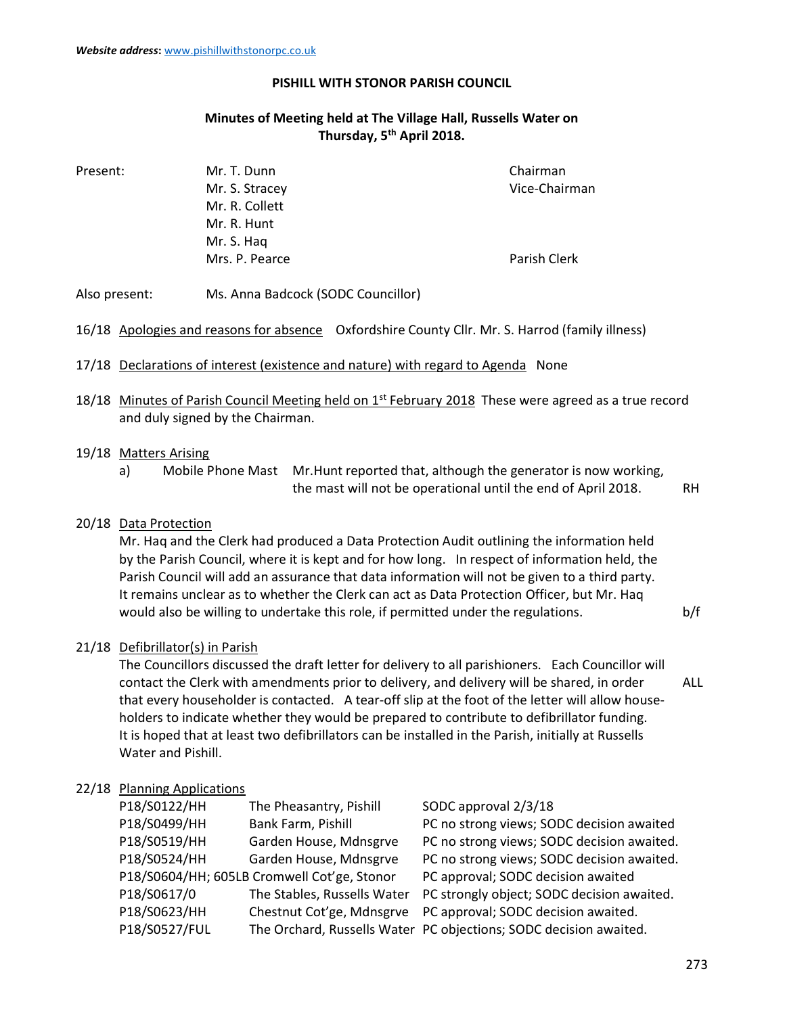#### PISHILL WITH STONOR PARISH COUNCIL

# Minutes of Meeting held at The Village Hall, Russells Water on Thursday, 5<sup>th</sup> April 2018.

Present: Mr. T. Dunn Chairman Mr. S. Stracey **Vice-Chairman**  Mr. R. Collett Mr. R. Hunt Mr. S. Haq Mrs. P. Pearce **Parish Clerk** 

Also present: Ms. Anna Badcock (SODC Councillor)

16/18 Apologies and reasons for absence Oxfordshire County Cllr. Mr. S. Harrod (family illness)

## 17/18 Declarations of interest (existence and nature) with regard to Agenda None

18/18 Minutes of Parish Council Meeting held on  $1<sup>st</sup>$  February 2018 These were agreed as a true record and duly signed by the Chairman.

### 19/18 Matters Arising

a) Mobile Phone Mast Mr.Hunt reported that, although the generator is now working, the mast will not be operational until the end of April 2018. RH

# 20/18 Data Protection

 Mr. Haq and the Clerk had produced a Data Protection Audit outlining the information held by the Parish Council, where it is kept and for how long. In respect of information held, the Parish Council will add an assurance that data information will not be given to a third party. It remains unclear as to whether the Clerk can act as Data Protection Officer, but Mr. Haq would also be willing to undertake this role, if permitted under the regulations. b/f

### 21/18 Defibrillator(s) in Parish

 The Councillors discussed the draft letter for delivery to all parishioners. Each Councillor will contact the Clerk with amendments prior to delivery, and delivery will be shared, in order ALL that every householder is contacted. A tear-off slip at the foot of the letter will allow house holders to indicate whether they would be prepared to contribute to defibrillator funding. It is hoped that at least two defibrillators can be installed in the Parish, initially at Russells Water and Pishill.

# 22/18 Planning Applications

| P18/S0122/HH  | The Pheasantry, Pishill                     | SODC approval 2/3/18                                              |
|---------------|---------------------------------------------|-------------------------------------------------------------------|
| P18/S0499/HH  | Bank Farm, Pishill                          | PC no strong views; SODC decision awaited                         |
| P18/S0519/HH  | Garden House, Mdnsgrve                      | PC no strong views; SODC decision awaited.                        |
| P18/S0524/HH  | Garden House, Mdnsgrve                      | PC no strong views; SODC decision awaited.                        |
|               | P18/S0604/HH; 605LB Cromwell Cot'ge, Stonor | PC approval; SODC decision awaited                                |
| P18/S0617/0   | The Stables, Russells Water                 | PC strongly object; SODC decision awaited.                        |
| P18/S0623/HH  | Chestnut Cot'ge, Mdnsgrve                   | PC approval; SODC decision awaited.                               |
| P18/S0527/FUL |                                             | The Orchard, Russells Water PC objections; SODC decision awaited. |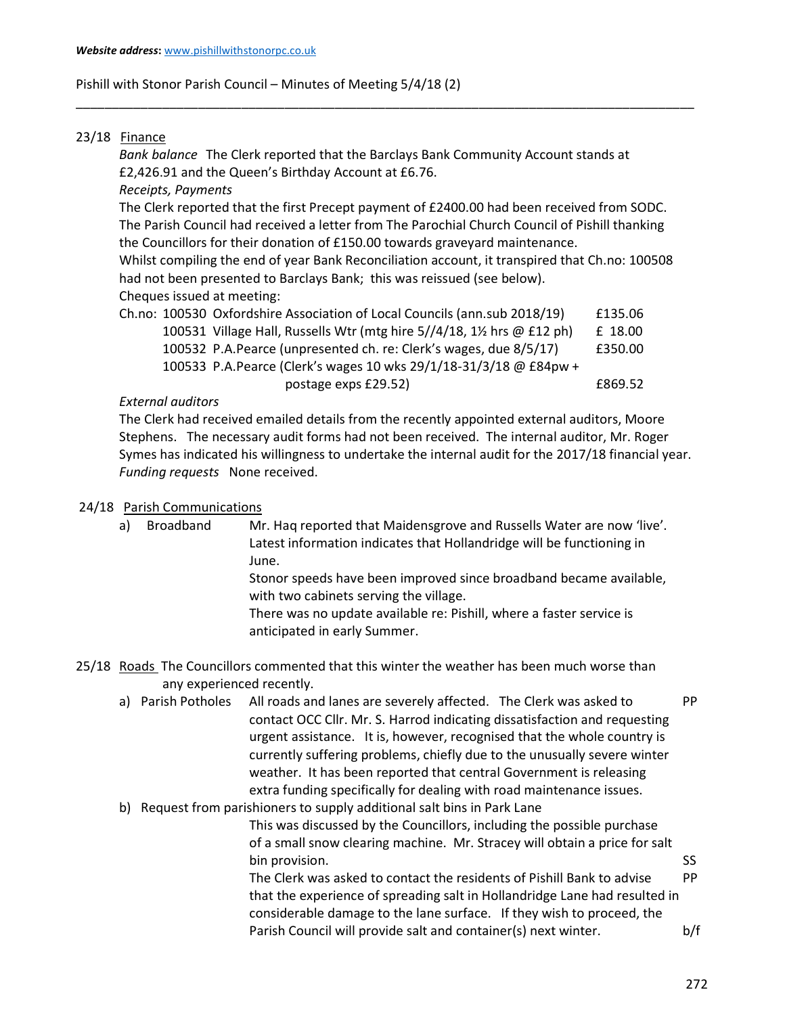## Pishill with Stonor Parish Council – Minutes of Meeting 5/4/18 (2)

### 23/18 Finance

Bank balance The Clerk reported that the Barclays Bank Community Account stands at £2,426.91 and the Queen's Birthday Account at £6.76.

\_\_\_\_\_\_\_\_\_\_\_\_\_\_\_\_\_\_\_\_\_\_\_\_\_\_\_\_\_\_\_\_\_\_\_\_\_\_\_\_\_\_\_\_\_\_\_\_\_\_\_\_\_\_\_\_\_\_\_\_\_\_\_\_\_\_\_\_\_\_\_\_\_\_\_\_\_\_\_\_\_\_\_\_\_\_

Receipts, Payments

 The Clerk reported that the first Precept payment of £2400.00 had been received from SODC. The Parish Council had received a letter from The Parochial Church Council of Pishill thanking the Councillors for their donation of £150.00 towards graveyard maintenance.

 Whilst compiling the end of year Bank Reconciliation account, it transpired that Ch.no: 100508 had not been presented to Barclays Bank; this was reissued (see below). Cheques issued at meeting:

| Ch.no: 100530 Oxfordshire Association of Local Councils (ann.sub 2018/19) | £135.06 |
|---------------------------------------------------------------------------|---------|
| 100531 Village Hall, Russells Wtr (mtg hire 5//4/18, 1½ hrs @ £12 ph)     | £ 18.00 |
| 100532 P.A.Pearce (unpresented ch. re: Clerk's wages, due 8/5/17)         | £350.00 |
| 100533 P.A.Pearce (Clerk's wages 10 wks 29/1/18-31/3/18 @ £84pw +         |         |
| postage exps £29.52)                                                      | £869.52 |

# External auditors

The Clerk had received emailed details from the recently appointed external auditors, Moore Stephens. The necessary audit forms had not been received. The internal auditor, Mr. Roger Symes has indicated his willingness to undertake the internal audit for the 2017/18 financial year. Funding requests None received.

# 24/18 Parish Communications

- a) Broadband Mr. Haq reported that Maidensgrove and Russells Water are now 'live'. Latest information indicates that Hollandridge will be functioning in June. Stonor speeds have been improved since broadband became available, with two cabinets serving the village. There was no update available re: Pishill, where a faster service is anticipated in early Summer.
- 25/18 Roads The Councillors commented that this winter the weather has been much worse than any experienced recently.
	- a) Parish Potholes All roads and lanes are severely affected. The Clerk was asked to PP contact OCC Cllr. Mr. S. Harrod indicating dissatisfaction and requesting urgent assistance. It is, however, recognised that the whole country is currently suffering problems, chiefly due to the unusually severe winter weather. It has been reported that central Government is releasing extra funding specifically for dealing with road maintenance issues.

# b) Request from parishioners to supply additional salt bins in Park Lane

 This was discussed by the Councillors, including the possible purchase of a small snow clearing machine. Mr. Stracey will obtain a price for salt bin provision. SS

 The Clerk was asked to contact the residents of Pishill Bank to advise PP that the experience of spreading salt in Hollandridge Lane had resulted in considerable damage to the lane surface. If they wish to proceed, the Parish Council will provide salt and container(s) next winter. b/f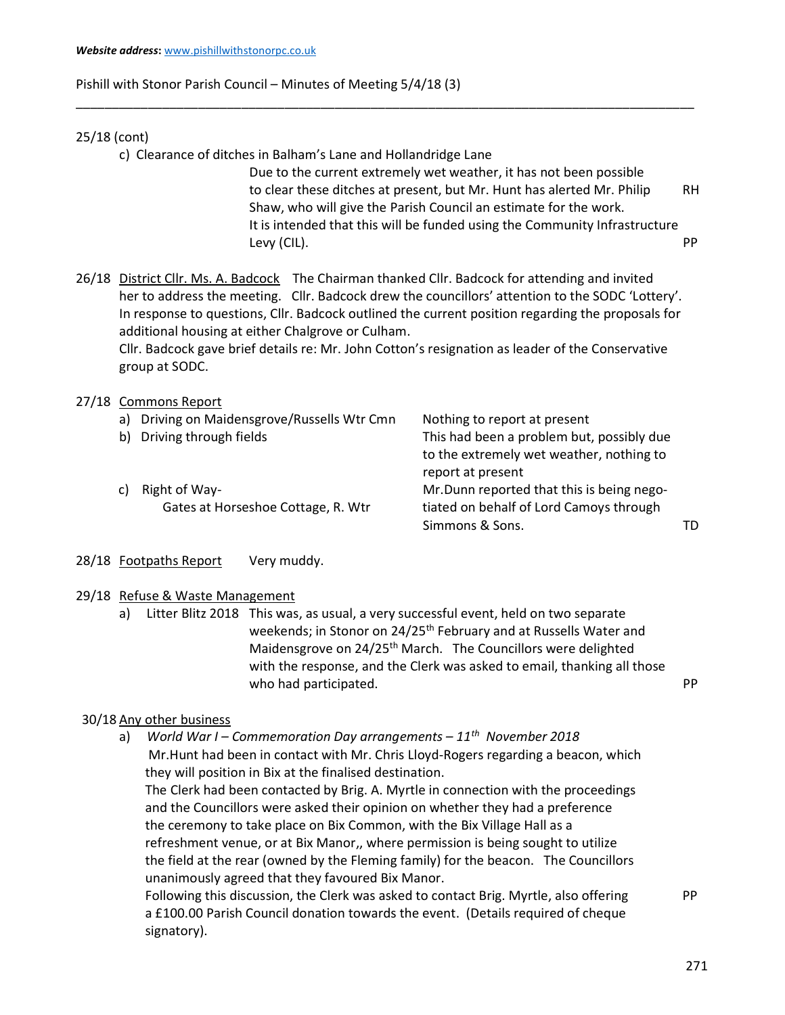## Pishill with Stonor Parish Council – Minutes of Meeting 5/4/18 (3)

## 25/18 (cont)

c) Clearance of ditches in Balham's Lane and Hollandridge Lane Due to the current extremely wet weather, it has not been possible to clear these ditches at present, but Mr. Hunt has alerted Mr. Philip RH Shaw, who will give the Parish Council an estimate for the work.

\_\_\_\_\_\_\_\_\_\_\_\_\_\_\_\_\_\_\_\_\_\_\_\_\_\_\_\_\_\_\_\_\_\_\_\_\_\_\_\_\_\_\_\_\_\_\_\_\_\_\_\_\_\_\_\_\_\_\_\_\_\_\_\_\_\_\_\_\_\_\_\_\_\_\_\_\_\_\_\_\_\_\_\_\_\_

It is intended that this will be funded using the Community Infrastructure

Levy (CIL). PP

26/18 District Cllr. Ms. A. Badcock The Chairman thanked Cllr. Badcock for attending and invited her to address the meeting. Cllr. Badcock drew the councillors' attention to the SODC 'Lottery'. In response to questions, Cllr. Badcock outlined the current position regarding the proposals for additional housing at either Chalgrove or Culham.

 Cllr. Badcock gave brief details re: Mr. John Cotton's resignation as leader of the Conservative group at SODC.

## 27/18 Commons Report

| a) | Driving on Maidensgrove/Russells Wtr Cmn | Nothing to report at present               |    |
|----|------------------------------------------|--------------------------------------------|----|
|    | b) Driving through fields                | This had been a problem but, possibly due  |    |
|    |                                          | to the extremely wet weather, nothing to   |    |
|    |                                          | report at present                          |    |
|    | Right of Way-                            | Mr. Dunn reported that this is being nego- |    |
|    | Gates at Horseshoe Cottage, R. Wtr       | tiated on behalf of Lord Camoys through    |    |
|    |                                          | Simmons & Sons.                            | ΓŊ |

28/18 Footpaths Report Very muddy.

### 29/18 Refuse & Waste Management

 a) Litter Blitz 2018 This was, as usual, a very successful event, held on two separate weekends; in Stonor on 24/25<sup>th</sup> February and at Russells Water and Maidensgrove on 24/25th March. The Councillors were delighted with the response, and the Clerk was asked to email, thanking all those who had participated. **PP** 

### 30/18 Any other business

a) World War I – Commemoration Day arrangements –  $11^{th}$  November 2018 Mr.Hunt had been in contact with Mr. Chris Lloyd-Rogers regarding a beacon, which they will position in Bix at the finalised destination.

 The Clerk had been contacted by Brig. A. Myrtle in connection with the proceedings and the Councillors were asked their opinion on whether they had a preference the ceremony to take place on Bix Common, with the Bix Village Hall as a refreshment venue, or at Bix Manor,, where permission is being sought to utilize the field at the rear (owned by the Fleming family) for the beacon. The Councillors unanimously agreed that they favoured Bix Manor.

Following this discussion, the Clerk was asked to contact Brig. Myrtle, also offering PP a £100.00 Parish Council donation towards the event. (Details required of cheque signatory).